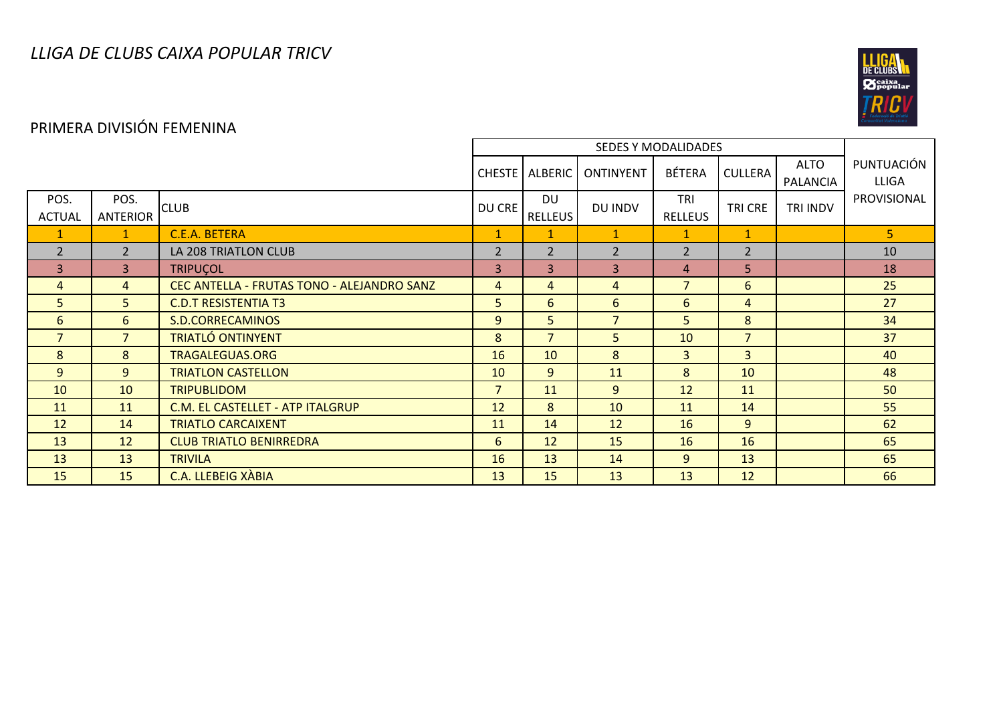

# PRIMERA DIVISIÓN FEMENINA

|                       |                         |                                            |                |                      | <b>ONTINYENT</b> | <b>BÉTERA</b>         | <b>CULLERA</b> | <b>ALTO</b><br>PALANCIA | PUNTUACIÓN<br><b>LLIGA</b> |
|-----------------------|-------------------------|--------------------------------------------|----------------|----------------------|------------------|-----------------------|----------------|-------------------------|----------------------------|
| POS.<br><b>ACTUAL</b> | POS.<br><b>ANTERIOR</b> | <b>CLUB</b>                                | DU CRE         | DU<br><b>RELLEUS</b> | DU INDV          | TRI<br><b>RELLEUS</b> | TRI CRE        | <b>TRI INDV</b>         | PROVISIONAL                |
| 1                     | 1                       | C.E.A. BETERA                              | $\mathbf{1}$   | 1                    | $\mathbf{1}$     | $\mathbf{1}$          | $\mathbf{1}$   |                         | 5 <sup>1</sup>             |
| $\overline{2}$        | $\overline{2}$          | LA 208 TRIATLON CLUB                       | $\overline{2}$ | 2                    | 2                | $\overline{2}$        | $\overline{2}$ |                         | 10                         |
| $\overline{3}$        | $\overline{3}$          | <b>TRIPUÇOL</b>                            | $\overline{3}$ | 3                    | 3                | 4                     | 5              |                         | 18                         |
| $\overline{4}$        | $\overline{4}$          | CEC ANTELLA - FRUTAS TONO - ALEJANDRO SANZ | $\overline{4}$ | $\overline{4}$       | 4                | $\overline{7}$        | 6              |                         | 25                         |
| 5                     | 5.                      | <b>C.D.T RESISTENTIA T3</b>                | 5              | 6                    | 6                | 6                     | $\overline{4}$ |                         | 27                         |
| 6                     | 6                       | S.D.CORRECAMINOS                           | 9              | 5                    | $\overline{7}$   | 5                     | 8              |                         | 34                         |
| $\overline{7}$        | 7 <sup>1</sup>          | <b>TRIATLÓ ONTINYENT</b>                   | 8              | $\overline{7}$       | 5                | 10                    | $\overline{7}$ |                         | 37                         |
| 8                     | 8                       | <b>TRAGALEGUAS.ORG</b>                     | 16             | 10                   | 8                | 3                     | $\overline{3}$ |                         | 40                         |
| 9                     | 9                       | <b>TRIATLON CASTELLON</b>                  | 10             | 9                    | 11               | 8                     | 10             |                         | 48                         |
| 10                    | 10                      | <b>TRIPUBLIDOM</b>                         | $\overline{7}$ | 11                   | 9                | 12                    | 11             |                         | 50                         |
| 11                    | 11                      | C.M. EL CASTELLET - ATP ITALGRUP           | 12             | 8                    | 10               | 11                    | 14             |                         | 55                         |
| 12                    | 14                      | <b>TRIATLO CARCAIXENT</b>                  | 11             | 14                   | 12               | 16                    | 9              |                         | 62                         |
| 13                    | 12                      | <b>CLUB TRIATLO BENIRREDRA</b>             | 6              | 12                   | 15               | 16                    | 16             |                         | 65                         |
| 13                    | 13                      | <b>TRIVILA</b>                             | 16             | 13                   | 14               | 9                     | 13             |                         | 65                         |
| 15                    | 15                      | <b>C.A. LLEBEIG XÀBIA</b>                  | 13             | 15                   | 13               | 13                    | 12             |                         | 66                         |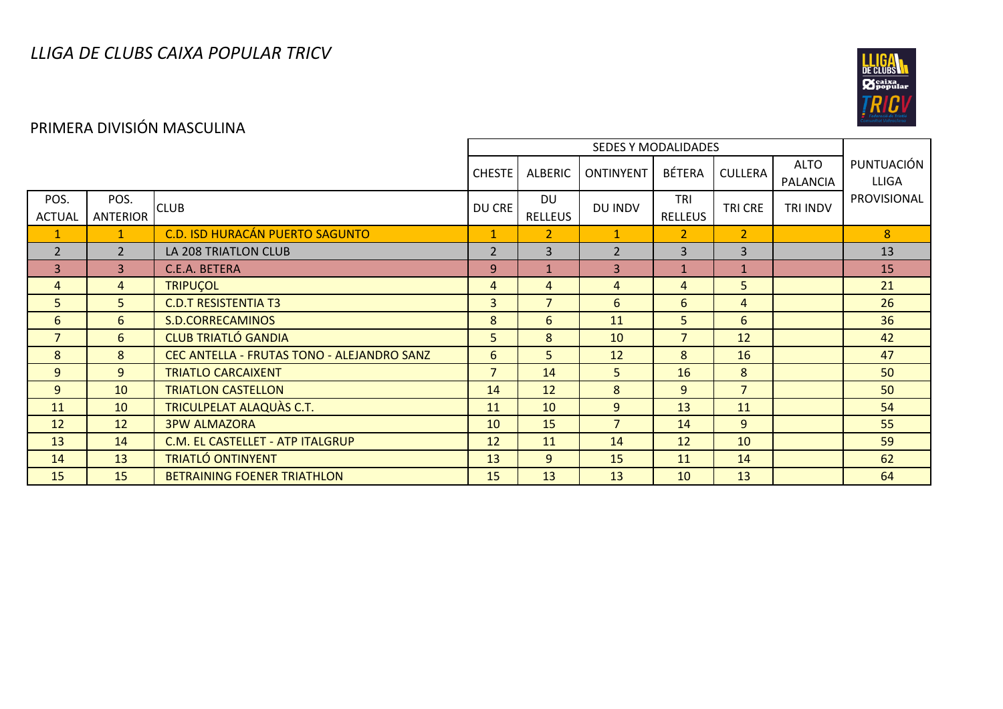

### PRIMERA DIVISIÓN MASCULINA

|                       |                         |                                            | <b>CHESTE</b>  | <b>ALBERIC</b>              | <b>ONTINYENT</b> | <b>BÉTERA</b>                | <b>CULLERA</b> | <b>ALTO</b><br><b>PALANCIA</b> | PUNTUACIÓN<br><b>LLIGA</b> |
|-----------------------|-------------------------|--------------------------------------------|----------------|-----------------------------|------------------|------------------------------|----------------|--------------------------------|----------------------------|
| POS.<br><b>ACTUAL</b> | POS.<br><b>ANTERIOR</b> | <b>CLUB</b>                                | DU CRE         | <b>DU</b><br><b>RELLEUS</b> | DU INDV          | <b>TRI</b><br><b>RELLEUS</b> | TRI CRE        | TRI INDV                       | PROVISIONAL                |
| $\mathbf{1}$          | $\mathbf{1}$            | C.D. ISD HURACÁN PUERTO SAGUNTO            | $\mathbf{1}$   | $\overline{2}$              | $\mathbf{1}$     | $\overline{2}$               | 2 <sup>1</sup> |                                | 8                          |
| $\overline{2}$        | $\overline{2}$          | LA 208 TRIATLON CLUB                       | $\overline{2}$ | 3                           | $\overline{2}$   | 3                            | $\overline{3}$ |                                | 13                         |
| $\overline{3}$        | $\overline{3}$          | C.E.A. BETERA                              | 9              | $\mathbf{1}$                | 3                | $\mathbf{1}$                 | $\mathbf{1}$   |                                | 15                         |
| 4                     | $\overline{4}$          | <b>TRIPUCOL</b>                            | $\overline{4}$ | $\overline{4}$              | $\overline{4}$   | $\overline{4}$               | 5              |                                | 21                         |
| 5                     | 5 <sup>1</sup>          | <b>C.D.T RESISTENTIA T3</b>                | 3              | $\overline{7}$              | 6                | 6                            | $\overline{4}$ |                                | 26                         |
| 6                     | 6                       | S.D.CORRECAMINOS                           | 8              | 6                           | 11               | 5                            | 6              |                                | 36                         |
| $\overline{7}$        | 6                       | <b>CLUB TRIATLÓ GANDIA</b>                 | 5              | 8                           | 10               | $\overline{7}$               | 12             |                                | 42                         |
| 8                     | 8                       | CEC ANTELLA - FRUTAS TONO - ALEJANDRO SANZ | 6              | 5                           | 12               | 8                            | 16             |                                | 47                         |
| 9                     | 9                       | <b>TRIATLO CARCAIXENT</b>                  | $\overline{7}$ | 14                          | 5                | 16                           | 8              |                                | 50                         |
| 9                     | 10                      | <b>TRIATLON CASTELLON</b>                  | 14             | 12                          | 8                | 9                            | $\overline{7}$ |                                | 50                         |
| 11                    | 10                      | TRICULPELAT ALAQUAS C.T.                   | 11             | 10                          | 9                | 13                           | 11             |                                | 54                         |
| 12                    | 12                      | <b>3PW ALMAZORA</b>                        | 10             | 15                          | $\overline{7}$   | 14                           | $\overline{9}$ |                                | 55                         |
| 13                    | 14                      | C.M. EL CASTELLET - ATP ITALGRUP           | 12             | 11                          | 14               | 12                           | 10             |                                | 59                         |
| 14                    | 13                      | <b>TRIATLÓ ONTINYENT</b>                   | 13             | 9                           | 15               | 11                           | 14             |                                | 62                         |
| 15                    | 15                      | <b>BETRAINING FOENER TRIATHLON</b>         | 15             | 13                          | 13               | 10                           | 13             |                                | 64                         |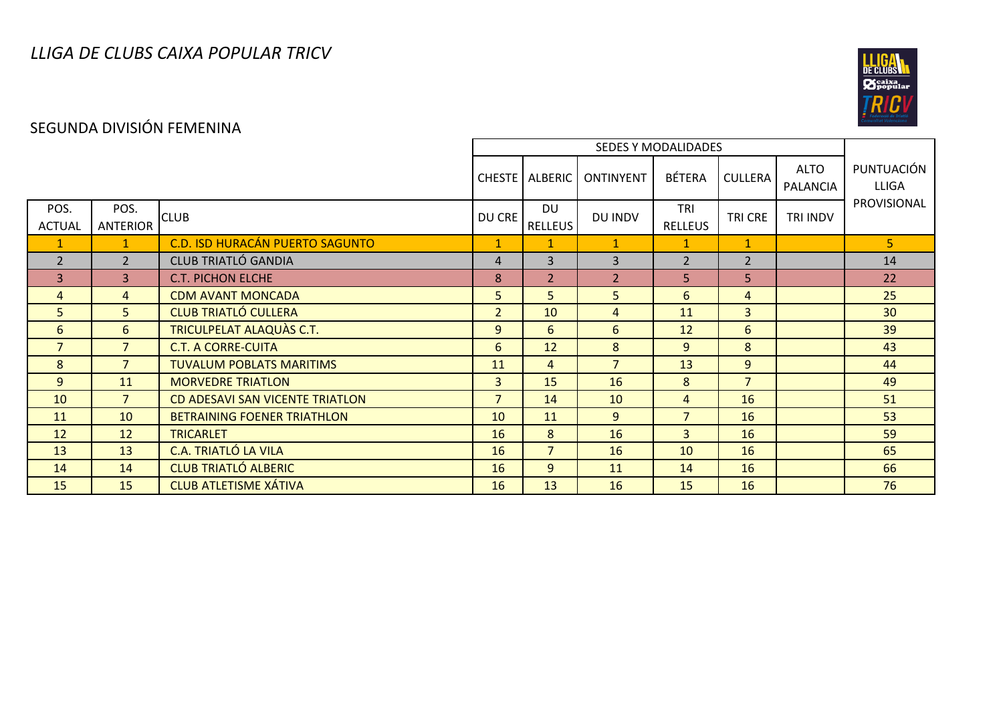

### SEGUNDA DIVISIÓN FEMENINA

|                       |                  |                                        |                | CHESTE   ALBERIC            | ONTINYENT      | <b>BÉTERA</b>         | <b>CULLERA</b> | <b>ALTO</b><br>PALANCIA | PUNTUACIÓN<br><b>LLIGA</b> |
|-----------------------|------------------|----------------------------------------|----------------|-----------------------------|----------------|-----------------------|----------------|-------------------------|----------------------------|
| POS.<br><b>ACTUAL</b> | POS.<br>ANTERIOR | <b>CLUB</b>                            | DU CRE         | <b>DU</b><br><b>RELLEUS</b> | DU INDV        | TRI<br><b>RELLEUS</b> | TRI CRE        | TRI INDV                | PROVISIONAL                |
| $\mathbf{I}$          | $\mathbf{1}$     | <b>C.D. ISD HURACÁN PUERTO SAGUNTO</b> | $\mathbf{1}$   | 1                           | $\mathbf{1}$   | $\mathbf{1}$          | $\mathbf{1}$   |                         | 5 <sup>1</sup>             |
| $\overline{2}$        | $\overline{2}$   | <b>CLUB TRIATLÓ GANDIA</b>             | $\overline{4}$ | 3                           | $\overline{3}$ | $\overline{2}$        | $\overline{2}$ |                         | 14                         |
| $\overline{3}$        | 3                | <b>C.T. PICHON ELCHE</b>               | 8              | $\overline{2}$              | $\overline{2}$ | 5                     | 5              |                         | 22                         |
| 4                     | $\overline{4}$   | <b>CDM AVANT MONCADA</b>               | 5              | 5                           | 5              | 6                     | $\overline{4}$ |                         | 25                         |
| 5                     | 5                | <b>CLUB TRIATLÓ CULLERA</b>            | 2 <sup>1</sup> | 10                          | $\overline{4}$ | 11                    | $\overline{3}$ |                         | 30                         |
| 6                     | $6\overline{6}$  | <b>TRICULPELAT ALAQUÀS C.T.</b>        | 9              | 6                           | 6              | 12                    | 6              |                         | 39                         |
| $\overline{7}$        | $\overline{7}$   | <b>C.T. A CORRE-CUITA</b>              | 6              | 12                          | 8              | 9                     | 8              |                         | 43                         |
| 8                     | $7^{\circ}$      | <b>TUVALUM POBLATS MARITIMS</b>        | 11             | $\overline{4}$              | $\overline{7}$ | 13                    | 9              |                         | 44                         |
| 9                     | 11               | <b>MORVEDRE TRIATLON</b>               | $\overline{3}$ | 15                          | 16             | 8                     | $\overline{7}$ |                         | 49                         |
| 10                    | $\overline{7}$   | CD ADESAVI SAN VICENTE TRIATLON        | $\overline{7}$ | 14                          | 10             | $\overline{4}$        | 16             |                         | 51                         |
| 11                    | 10               | <b>BETRAINING FOENER TRIATHLON</b>     | 10             | 11                          | 9              | $\overline{7}$        | 16             |                         | 53                         |
| 12                    | 12               | <b>TRICARLET</b>                       | 16             | 8                           | 16             | 3                     | 16             |                         | 59                         |
| 13                    | 13               | <b>C.A. TRIATLÓ LA VILA</b>            | 16             | $\overline{7}$              | 16             | 10                    | 16             |                         | 65                         |
| 14                    | 14               | <b>CLUB TRIATLÓ ALBERIC</b>            | 16             | 9                           | 11             | 14                    | 16             |                         | 66                         |
| 15                    | 15               | <b>CLUB ATLETISME XÁTIVA</b>           | 16             | 13                          | 16             | 15                    | 16             |                         | 76                         |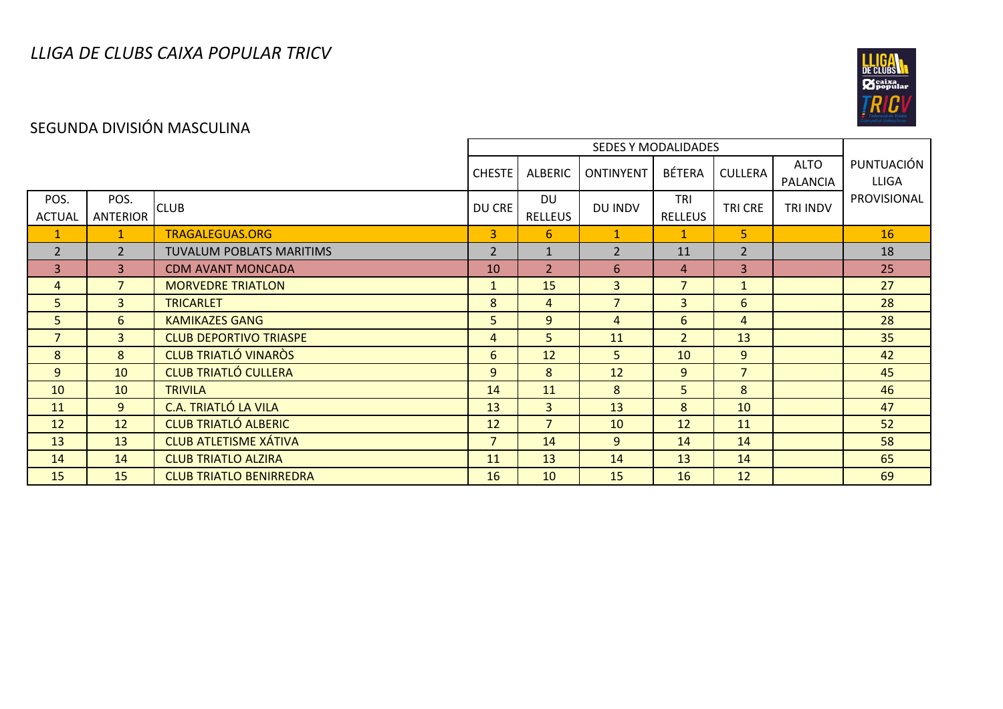

### SEGUNDA DIVISIÓN MASCULINA

|                       |                         | <b>CHESTE</b>                   | ALBERIC        | ONTINYENT                   | <b>BÉTERA</b>  | <b>CULLERA</b>               | <b>ALTO</b><br>PALANCIA | PUNTUACIÓN<br><b>LLIGA</b> |             |
|-----------------------|-------------------------|---------------------------------|----------------|-----------------------------|----------------|------------------------------|-------------------------|----------------------------|-------------|
| POS.<br><b>ACTUAL</b> | POS.<br><b>ANTERIOR</b> | <b>CLUB</b>                     | DU CRE         | <b>DU</b><br><b>RELLEUS</b> | DU INDV        | <b>TRI</b><br><b>RELLEUS</b> | TRI CRE                 | TRI INDV                   | PROVISIONAL |
| $\mathbf{1}$          | $\mathbf{1}$            | <b>TRAGALEGUAS.ORG</b>          | 3              | 6                           | $\mathbf{1}$   | $\mathbf{1}$                 | 5                       |                            | 16          |
| $\overline{2}$        | $\overline{2}$          | <b>TUVALUM POBLATS MARITIMS</b> | $\overline{2}$ | $\mathbf{1}$                | $\overline{2}$ | 11                           | $\overline{2}$          |                            | 18          |
| $\overline{3}$        | 3                       | <b>CDM AVANT MONCADA</b>        | 10             | $\overline{2}$              | 6              | $\overline{4}$               | 3                       |                            | 25          |
| 4                     | $\overline{7}$          | <b>MORVEDRE TRIATLON</b>        | $\mathbf{1}$   | 15                          | 3              | $\overline{7}$               | $\mathbf{1}$            |                            | 27          |
| 5                     | 3                       | <b>TRICARLET</b>                | 8              | $\overline{4}$              | $\overline{7}$ | $\overline{3}$               | 6                       |                            | 28          |
| 5                     | 6                       | <b>KAMIKAZES GANG</b>           | 5              | 9                           | 4              | 6                            | 4                       |                            | 28          |
| $\overline{7}$        | 3                       | <b>CLUB DEPORTIVO TRIASPE</b>   | $\overline{4}$ | 5                           | 11             | $\overline{2}$               | 13                      |                            | 35          |
| 8                     | 8                       | <b>CLUB TRIATLÓ VINARÒS</b>     | 6              | 12                          | 5              | 10                           | $\overline{9}$          |                            | 42          |
| 9                     | 10                      | <b>CLUB TRIATLÓ CULLERA</b>     | 9              | 8                           | 12             | 9                            | $\overline{7}$          |                            | 45          |
| 10                    | 10                      | <b>TRIVILA</b>                  | 14             | 11                          | 8              | 5 <sup>1</sup>               | 8                       |                            | 46          |
| 11                    | 9                       | <b>C.A. TRIATLÓ LA VILA</b>     | 13             | $\overline{3}$              | 13             | 8                            | 10                      |                            | 47          |
| 12                    | 12                      | <b>CLUB TRIATLÓ ALBERIC</b>     | 12             | $\overline{7}$              | 10             | 12                           | 11                      |                            | 52          |
| 13                    | 13                      | <b>CLUB ATLETISME XÁTIVA</b>    | $\overline{7}$ | 14                          | 9              | 14                           | 14                      |                            | 58          |
| 14                    | 14                      | <b>CLUB TRIATLO ALZIRA</b>      | 11             | 13                          | 14             | 13                           | 14                      |                            | 65          |
| 15                    | 15                      | <b>CLUB TRIATLO BENIRREDRA</b>  | 16             | 10 <sup>°</sup>             | 15             | 16                           | 12                      |                            | 69          |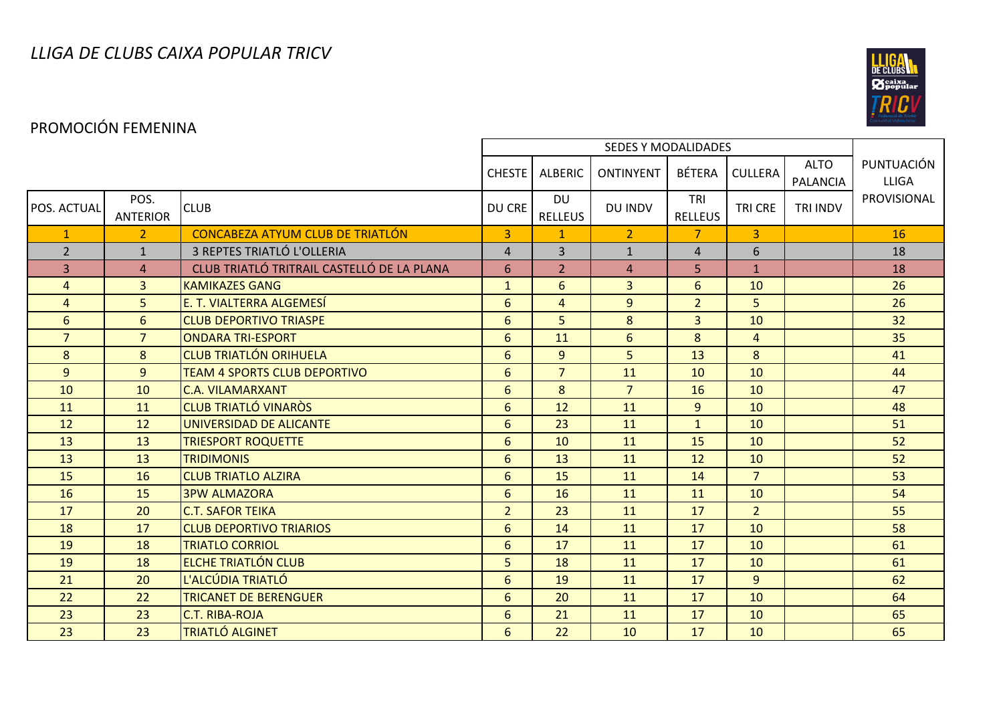

### PROMOCIÓN FEMENINA

|                |                         |                                            | <b>CHESTE</b>   | ALBERIC                     | <b>ONTINYENT</b> | BÉTERA                | <b>CULLERA</b> | <b>ALTO</b><br><b>PALANCIA</b> | PUNTUACIÓN<br><b>LLIGA</b> |
|----------------|-------------------------|--------------------------------------------|-----------------|-----------------------------|------------------|-----------------------|----------------|--------------------------------|----------------------------|
| POS. ACTUAL    | POS.<br><b>ANTERIOR</b> | <b>CLUB</b>                                | DU CRE          | <b>DU</b><br><b>RELLEUS</b> | DU INDV          | TRI<br><b>RELLEUS</b> | <b>TRI CRE</b> | TRI INDV                       | PROVISIONAL                |
| $\mathbf{1}$   | $\overline{2}$          | <b>CONCABEZA ATYUM CLUB DE TRIATLÓN</b>    | $\overline{3}$  | $\mathbf{1}$                | 2 <sup>1</sup>   | $\overline{7}$        | $\overline{3}$ |                                | 16                         |
| $\overline{2}$ | $\mathbf{1}$            | 3 REPTES TRIATLÓ L'OLLERIA                 | $\overline{4}$  | 3                           | $\mathbf{1}$     | $\overline{4}$        | 6              |                                | 18                         |
| 3              | $\overline{4}$          | CLUB TRIATLÓ TRITRAIL CASTELLÓ DE LA PLANA | 6               | 2 <sup>1</sup>              | $\overline{4}$   | 5                     | $\mathbf{1}$   |                                | 18                         |
| $\overline{4}$ | $\overline{3}$          | <b>KAMIKAZES GANG</b>                      | $\mathbf{1}$    | 6                           | $\overline{3}$   | 6                     | 10             |                                | 26                         |
| $\overline{4}$ | 5                       | E. T. VIALTERRA ALGEMESÍ                   | 6               | $\overline{4}$              | $\overline{9}$   | $\overline{2}$        | 5              |                                | 26                         |
| 6              | 6                       | <b>CLUB DEPORTIVO TRIASPE</b>              | 6               | 5                           | 8                | $\overline{3}$        | 10             |                                | 32                         |
| $\overline{7}$ | $\overline{7}$          | <b>ONDARA TRI-ESPORT</b>                   | 6               | 11                          | $6\overline{6}$  | 8                     | $\overline{4}$ |                                | 35                         |
| 8              | 8                       | <b>CLUB TRIATLÓN ORIHUELA</b>              | 6               | $\overline{9}$              | 5                | 13                    | 8              |                                | 41                         |
| 9              | 9                       | <b>TEAM 4 SPORTS CLUB DEPORTIVO</b>        | 6               | $\overline{7}$              | 11               | 10                    | 10             |                                | 44                         |
| 10             | 10                      | <b>C.A. VILAMARXANT</b>                    | 6               | 8                           | 7 <sup>1</sup>   | 16                    | 10             |                                | 47                         |
| 11             | 11                      | <b>CLUB TRIATLÓ VINARÒS</b>                | 6               | 12                          | 11               | 9 <sup>°</sup>        | 10             |                                | 48                         |
| 12             | 12                      | UNIVERSIDAD DE ALICANTE                    | $6\phantom{1}6$ | 23                          | 11               | $\mathbf{1}$          | 10             |                                | 51                         |
| 13             | 13                      | <b>TRIESPORT ROQUETTE</b>                  | 6               | 10                          | 11               | 15                    | 10             |                                | 52                         |
| 13             | 13                      | <b>TRIDIMONIS</b>                          | 6               | 13                          | 11               | 12                    | 10             |                                | 52                         |
| 15             | 16                      | <b>CLUB TRIATLO ALZIRA</b>                 | 6               | 15                          | 11               | 14                    | $\overline{7}$ |                                | 53                         |
| 16             | 15                      | <b>3PW ALMAZORA</b>                        | 6               | 16                          | 11               | 11                    | 10             |                                | 54                         |
| 17             | 20                      | <b>C.T. SAFOR TEIKA</b>                    | $\overline{2}$  | 23                          | 11               | 17                    | $\overline{2}$ |                                | 55                         |
| 18             | 17                      | <b>CLUB DEPORTIVO TRIARIOS</b>             | 6               | 14                          | 11               | 17                    | 10             |                                | 58                         |
| 19             | 18                      | <b>TRIATLO CORRIOL</b>                     | 6               | 17                          | 11               | 17                    | 10             |                                | 61                         |
| 19             | 18                      | <b>ELCHE TRIATLÓN CLUB</b>                 | 5 <sup>1</sup>  | 18                          | 11               | 17                    | 10             |                                | 61                         |
| 21             | 20                      | L'ALCÚDIA TRIATLÓ                          | 6               | 19                          | 11               | 17                    | 9              |                                | 62                         |
| 22             | 22                      | <b>TRICANET DE BERENGUER</b>               | 6               | 20                          | 11               | 17                    | 10             |                                | 64                         |
| 23             | 23                      | <b>C.T. RIBA-ROJA</b>                      | 6               | 21                          | 11               | 17                    | 10             |                                | 65                         |
| 23             | 23                      | <b>TRIATLÓ ALGINET</b>                     | 6               | 22                          | 10               | 17                    | 10             |                                | 65                         |